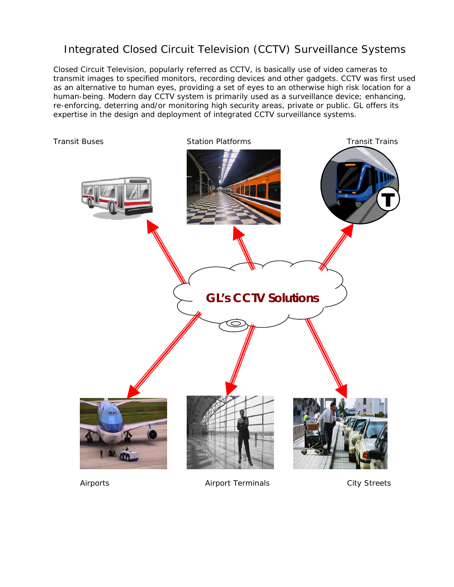## Integrated Closed Circuit Television (CCTV) Surveillance Systems

Closed Circuit Television, popularly referred as CCTV, is basically use of video cameras to transmit images to specified monitors, recording devices and other gadgets. CCTV was first used as an alternative to human eyes, providing a set of eyes to an otherwise high risk location for a human-being. Modern day CCTV system is primarily used as a surveillance device; enhancing, re-enforcing, deterring and/or monitoring high security areas, private or public. GL offers its expertise in the design and deployment of integrated CCTV surveillance systems.



Airports **Airport Terminals** City Streets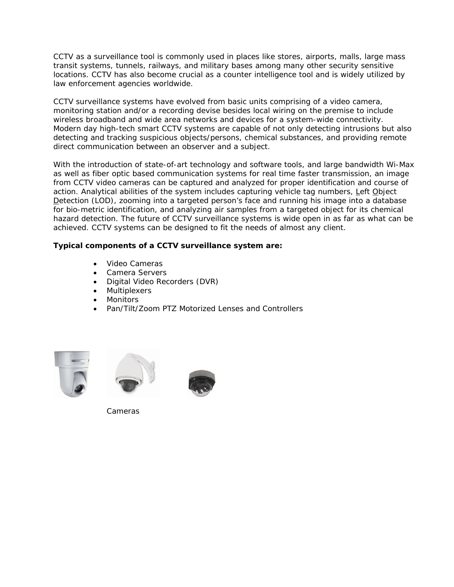CCTV as a surveillance tool is commonly used in places like stores, airports, malls, large mass transit systems, tunnels, railways, and military bases among many other security sensitive locations. CCTV has also become crucial as a counter intelligence tool and is widely utilized by law enforcement agencies worldwide.

CCTV surveillance systems have evolved from basic units comprising of a video camera, monitoring station and/or a recording devise besides local wiring on the premise to include wireless broadband and wide area networks and devices for a system-wide connectivity. Modern day high-tech smart CCTV systems are capable of not only detecting intrusions but also detecting and tracking suspicious objects/persons, chemical substances, and providing remote direct communication between an observer and a subject.

With the introduction of state-of-art technology and software tools, and large bandwidth Wi-Max as well as fiber optic based communication systems for real time faster transmission, an image from CCTV video cameras can be captured and analyzed for proper identification and course of action. Analytical abilities of the system includes capturing vehicle tag numbers, Left Object Detection (LOD), zooming into a targeted person's face and running his image into a database for bio-metric identification, and analyzing air samples from a targeted object for its chemical hazard detection. The future of CCTV surveillance systems is wide open in as far as what can be achieved. CCTV systems can be designed to fit the needs of almost any client.

## **Typical components of a CCTV surveillance system are:**

- Video Cameras
- Camera Servers
- Digital Video Recorders (DVR)
- **Multiplexers**
- Monitors
- Pan/Tilt/Zoom PTZ Motorized Lenses and Controllers







Cameras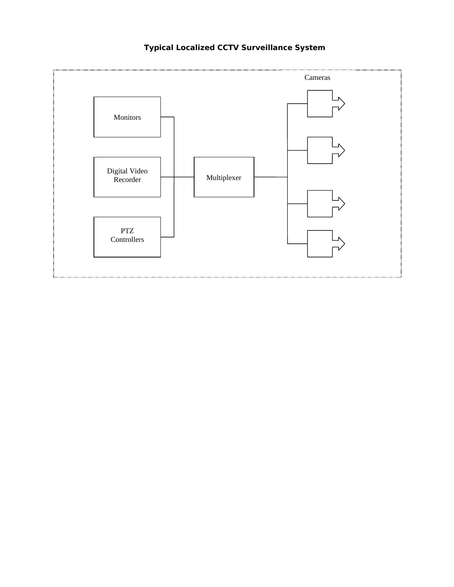

## **Typical Localized CCTV Surveillance System**